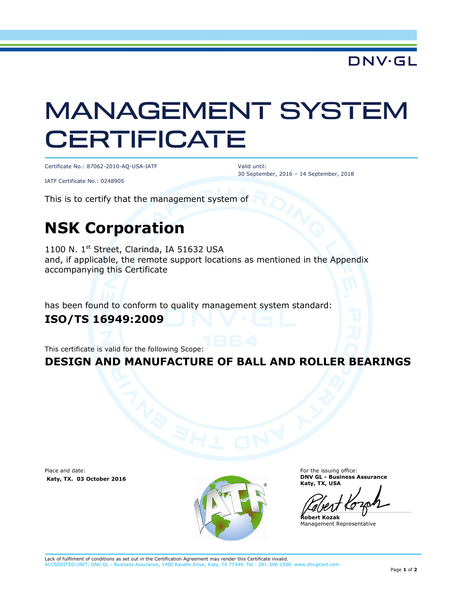**DNV·GL** 

# MANAGEMENT SYSTEM **CERTIFICATE**

Certificate No.: 87062-2010-AQ-USA-IATF

Valid until: 30 September, 2016 – 14 September, 2018

IATF Certificate No.: 0248905

This is to certify that the management system of

### **NSK Corporation**

1100 N. 1<sup>st</sup> Street, Clarinda, IA 51632 USA and, if applicable, the remote support locations as mentioned in the Appendix accompanying this Certificate

has been found to conform to quality management system standard:

#### **ISO/TS 16949:2009**

This certificate is valid for the following Scope:

#### **DESIGN AND MANUFACTURE OF BALL AND ROLLER BEARINGS**

Place and date:  **Katy, TX. 03 October 2016** 



For the issuing office: **DNV GL - Business Assurance Katy, TX, USA** 

 $\overline{\phantom{a}}$ 

**Robert Kozak**  Management Representative